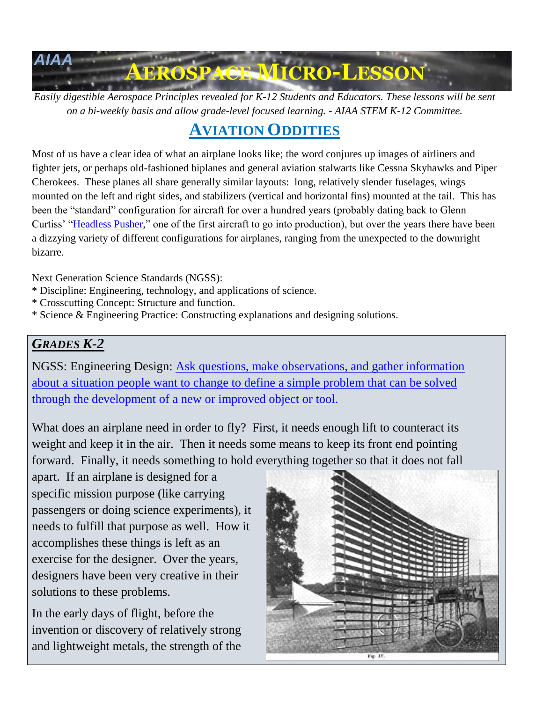

*Easily digestible Aerospace Principles revealed for K-12 Students and Educators. These lessons will be sent on a bi-weekly basis and allow grade-level focused learning. - AIAA STEM K-12 Committee.*

# **AVIATION ODDITIES**

Most of us have a clear idea of what an airplane looks like; the word conjures up images of airliners and fighter jets, or perhaps old-fashioned biplanes and general aviation stalwarts like Cessna Skyhawks and Piper Cherokees. These planes all share generally similar layouts: long, relatively slender fuselages, wings mounted on the left and right sides, and stabilizers (vertical and horizontal fins) mounted at the tail. This has been the "standard" configuration for aircraft for over a hundred years (probably dating back to Glenn Curtiss' ["Headless Pusher,](https://airandspace.si.edu/collection-objects/curtiss-d-iii-headless-pusher)" one of the first aircraft to go into production), but over the years there have been a dizzying variety of different configurations for airplanes, ranging from the unexpected to the downright bizarre.

Next Generation Science Standards (NGSS):

- \* Discipline: Engineering, technology, and applications of science.
- \* Crosscutting Concept: Structure and function.
- \* Science & Engineering Practice: Constructing explanations and designing solutions.

### *GRADES K-2*

NGSS: Engineering Design: [Ask questions, make observations, and gather information](https://www.nextgenscience.org/dci-arrangement/k-2-ets1-engineering-design)  [about a situation people want to change to define a simple problem that can be solved](https://www.nextgenscience.org/dci-arrangement/k-2-ets1-engineering-design)  [through the development of a new or improved object or tool.](https://www.nextgenscience.org/dci-arrangement/k-2-ets1-engineering-design)

What does an airplane need in order to fly? First, it needs enough lift to counteract its weight and keep it in the air. Then it needs some means to keep its front end pointing forward. Finally, it needs something to hold everything together so that it does not fall

apart. If an airplane is designed for a specific mission purpose (like carrying passengers or doing science experiments), it needs to fulfill that purpose as well. How it accomplishes these things is left as an exercise for the designer. Over the years, designers have been very creative in their solutions to these problems.

In the early days of flight, before the invention or discovery of relatively strong and lightweight metals, the strength of the

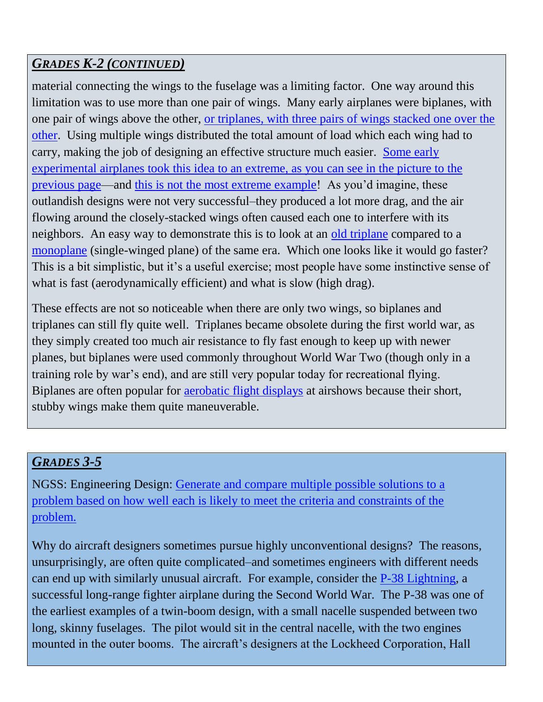# *GRADES K-2 (CONTINUED)*

material connecting the wings to the fuselage was a limiting factor. One way around this limitation was to use more than one pair of wings. Many early airplanes were biplanes, with one pair of wings above the other, [or triplanes, with three pairs of wings stacked one over the](http://www.historynet.com/the-triplane-fighter-craze-of-1917.htm)  [other.](http://www.historynet.com/the-triplane-fighter-craze-of-1917.htm) Using multiple wings distributed the total amount of load which each wing had to carry, making the job of designing an effective structure much easier. [Some early](https://en.wikipedia.org/wiki/Horatio_Frederick_Phillips) experimental airplanes took this [idea to an extreme, as you can see in the picture to the](https://en.wikipedia.org/wiki/Horatio_Frederick_Phillips)  [previous page—](https://en.wikipedia.org/wiki/Horatio_Frederick_Phillips)and [this is not the most extreme example!](https://en.wikipedia.org/wiki/File:1907_flying_machine.jpg) As you'd imagine, these outlandish designs were not very successful–they produced a lot more drag, and the air flowing around the closely-stacked wings often caused each one to interfere with its neighbors. An easy way to demonstrate this is to look at an [old triplane](https://upload.wikimedia.org/wikipedia/commons/2/27/Sopwith_Triplane_-_Flying_Legends_2012_-_Duxford_%287486828684%29.jpg) compared to a [monoplane](http://www.militaryplanes.co.uk/aircraft%20photos/m1c/m1c3.jpg) (single-winged plane) of the same era. Which one looks like it would go faster? This is a bit simplistic, but it's a useful exercise; most people have some instinctive sense of what is fast (aerodynamically efficient) and what is slow (high drag).

These effects are not so noticeable when there are only two wings, so biplanes and triplanes can still fly quite well. Triplanes became obsolete during the first world war, as they simply created too much air resistance to fly fast enough to keep up with newer planes, but biplanes were used commonly throughout World War Two (though only in a training role by war's end), and are still very popular today for recreational flying. Biplanes are often popular for [aerobatic flight displays](http://www.johnjohn.co.uk/compare/img_aerobatic/pitts-activity.jpg) at airshows because their short, stubby wings make them quite maneuverable.

# *GRADES 3-5*

NGSS: Engineering Design: [Generate and compare multiple possible solutions to a](https://www.nextgenscience.org/dci-arrangement/3-5-ets1-engineering-design)  problem based on how well each [is likely to meet the criteria and constraints of the](https://www.nextgenscience.org/dci-arrangement/3-5-ets1-engineering-design)  [problem.](https://www.nextgenscience.org/dci-arrangement/3-5-ets1-engineering-design)

Why do aircraft designers sometimes pursue highly unconventional designs? The reasons, unsurprisingly, are often quite complicated–and sometimes engineers with different needs can end up with similarly unusual aircraft. For example, consider the [P-38 Lightning,](https://www.thoughtco.com/world-war-ii-p-38-lightning-2361085) a successful long-range fighter airplane during the Second World War. The P-38 was one of the earliest examples of a twin-boom design, with a small nacelle suspended between two long, skinny fuselages. The pilot would sit in the central nacelle, with the two engines mounted in the outer booms. The aircraft's designers at the Lockheed Corporation, Hall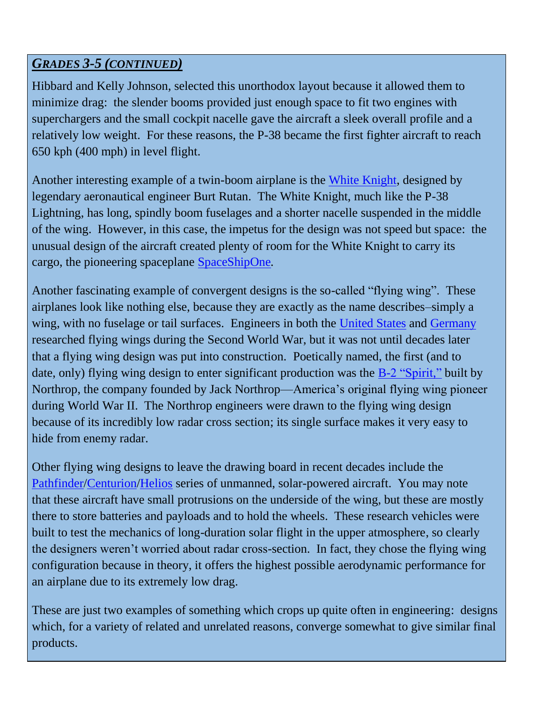#### *GRADES 3-5 (CONTINUED)*

Hibbard and Kelly Johnson, selected this unorthodox layout because it allowed them to minimize drag: the slender booms provided just enough space to fit two engines with superchargers and the small cockpit nacelle gave the aircraft a sleek overall profile and a relatively low weight. For these reasons, the P-38 became the first fighter aircraft to reach 650 kph (400 mph) in level flight.

Another interesting example of a twin-boom airplane is the [White Knight,](http://www.air-and-space.com/20050802%20Mojave/DSC_2445%20White%20Knight%20N318SL%20left%20front%20landing%20m.jpg) designed by legendary aeronautical engineer Burt Rutan. The White Knight, much like the P-38 Lightning, has long, spindly boom fuselages and a shorter nacelle suspended in the middle of the wing. However, in this case, the impetus for the design was not speed but space: the unusual design of the aircraft created plenty of room for the White Knight to carry its cargo, the pioneering spaceplane [SpaceShipOne](https://apod.nasa.gov/apod/image/0306/ssone_cap_car.jpg)*.*

Another fascinating example of convergent designs is the so-called "flying wing". These airplanes look like nothing else, because they are exactly as the name describes–simply a wing, with no fuselage or tail surfaces. Engineers in both the [United States](http://www.diseno-art.com/images_9/Northrop-XB-35-1.jpg) and [Germany](http://worldwarwings.com/wp-content/uploads/2016/10/Ho229-735x413.jpg) researched flying wings during the Second World War, but it was not until decades later that a flying wing design was put into construction. Poetically named, the first (and to date, only) flying wing design to enter significant production was the [B-2 "Spirit,"](https://upload.wikimedia.org/wikipedia/commons/thumb/e/ec/B-2_Spirit_%28cropped%29.jpg/1200px-B-2_Spirit_%28cropped%29.jpg) built by Northrop, the company founded by Jack Northrop—America's original flying wing pioneer during World War II. The Northrop engineers were drawn to the flying wing design because of its incredibly low radar cross section; its single surface makes it very easy to hide from enemy radar.

Other flying wing designs to leave the drawing board in recent decades include the [Pathfinder/](https://www.nasa.gov/sites/default/files/images/330281main_ED02-0161-2_full.jpg)[Centurion](http://www.nasa.gov/sites/default/files/images/304615main_EC98-44803-110_full.jpg)[/Helios](https://www.nasa.gov/sites/default/files/images/370876main_ED01-0209-5_full.jpg) series of unmanned, solar-powered aircraft. You may note that these aircraft have small protrusions on the underside of the wing, but these are mostly there to store batteries and payloads and to hold the wheels. These research vehicles were built to test the mechanics of long-duration solar flight in the upper atmosphere, so clearly the designers weren't worried about radar cross-section. In fact, they chose the flying wing configuration because in theory, it offers the highest possible aerodynamic performance for an airplane due to its extremely low drag.

These are just two examples of something which crops up quite often in engineering: designs which, for a variety of related and unrelated reasons, converge somewhat to give similar final products.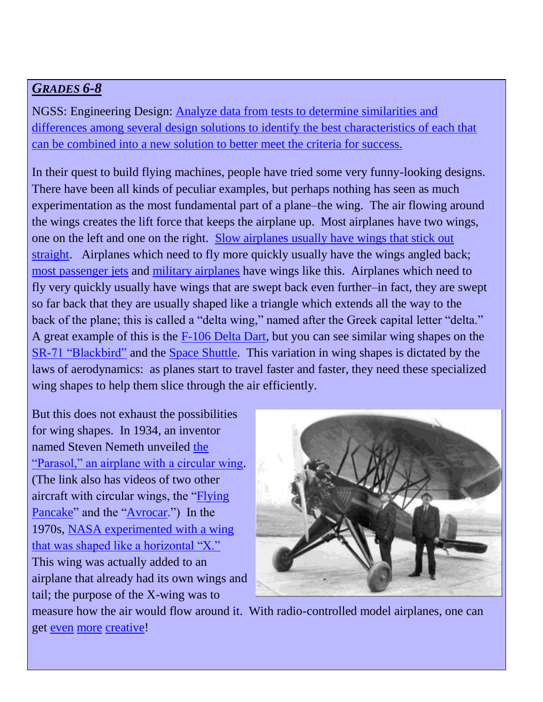#### *GRADES 6-8*

NGSS: Engineering Design: [Analyze data from tests to determine similarities and](https://www.nextgenscience.org/dci-arrangement/ms-ets1-engineering-design)  [differences among several design solutions to identify the best characteristics of each that](https://www.nextgenscience.org/dci-arrangement/ms-ets1-engineering-design)  [can be combined into a new solution to better meet the criteria for success.](https://www.nextgenscience.org/dci-arrangement/ms-ets1-engineering-design)

In their quest to build flying machines, people have tried some very funny-looking designs. There have been all kinds of peculiar examples, but perhaps nothing has seen as much experimentation as the most fundamental part of a plane–the wing. The air flowing around the wings creates the lift force that keeps the airplane up. Most airplanes have two wings, one on the left and one on the right. Slow [airplanes usually have wings that stick out](https://www.flyingmag.com/g00/photo-gallery/photos/piper-cub-photos?i10c.encReferrer=&i10c.ua=1)  [straight.](https://www.flyingmag.com/g00/photo-gallery/photos/piper-cub-photos?i10c.encReferrer=&i10c.ua=1) Airplanes which need to fly more quickly usually have the wings angled back; [most passenger jets](http://www.bbc.com/culture/story/20141020-the-plane-that-changed-air-travel) and [military airplanes](http://www.af.mil/About-Us/Fact-Sheets/Display/Article/104465/b-52-stratofortress/) have wings like this. Airplanes which need to fly very quickly usually have wings that are swept back even further–in fact, they are swept so far back that they are usually shaped like a triangle which extends all the way to the back of the plane; this is called a "delta wing," named after the Greek capital letter "delta." A great example of this is the [F-106 Delta Dart,](http://www.strategic-air-command.com/aircraft/fighter/images/f106_delta_dart.jpg) but you can see similar wing shapes on the [SR-71 "Blackbird"](http://nationalinterest.org/blog/the-buzz/the-sr-71-blackbird-the-fastest-plane-planet-earth-its-19213) and the [Space Shuttle.](http://www.spacefacts.de/graph/sts/landing2/sts-132_2.jpg) This variation in wing shapes is dictated by the laws of aerodynamics: as planes start to travel faster and faster, they need these specialized wing shapes to help them slice through the air efficiently.

But this does not exhaust the possibilities for wing shapes. In 1934, an inventor named Steven Nemeth unveiled [the](https://disciplesofflight.com/nemeth-parasol-strange-aircraft/)  ["Parasol," an airplane with a circular wing.](https://disciplesofflight.com/nemeth-parasol-strange-aircraft/) (The link also has videos of two other aircraft with circular wings, the ["Flying](https://airandspace.si.edu/collection-objects/vought-v-173-flying-pancake)  [Pancake"](https://airandspace.si.edu/collection-objects/vought-v-173-flying-pancake) and the ["Avrocar.](http://www.nationalmuseum.af.mil/Visit/Museum-Exhibits/Fact-Sheets/Display/Article/195801/avro-canada-vz-9av-avrocar/)") In the 1970s, [NASA experimented with a wing](https://en.wikipedia.org/wiki/Sikorsky_S-72)  [that was shaped like a horizontal "X."](https://en.wikipedia.org/wiki/Sikorsky_S-72)  This wing was actually added to an airplane that already had its own wings and tail; the purpose of the X-wing was to



measure how the air would flow around it. With radio-controlled model airplanes, one can get **even** [more](https://www.youtube.com/watch?v=6xKIvMYwsRs) [creative!](https://www.youtube.com/watch?v=26PpA1kFIWw)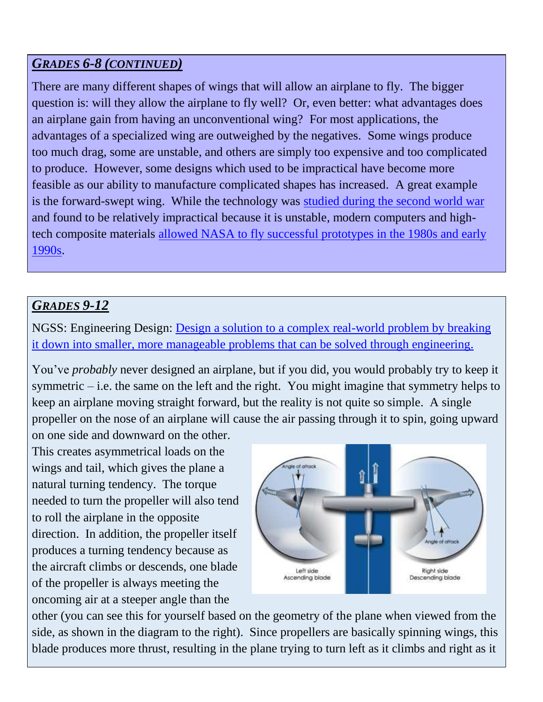#### *GRADES 6-8 (CONTINUED)*

There are many different shapes of wings that will allow an airplane to fly. The bigger question is: will they allow the airplane to fly well? Or, even better: what advantages does an airplane gain from having an unconventional wing? For most applications, the advantages of a specialized wing are outweighed by the negatives. Some wings produce too much drag, some are unstable, and others are simply too expensive and too complicated to produce. However, some designs which used to be impractical have become more feasible as our ability to manufacture complicated shapes has increased. A great example is the forward-swept wing. While the technology was [studied during the second world war](http://modelcar.up.seesaa.net/image/Ju287.jpg) and found to be relatively impractical because it is unstable, modern computers and hightech composite materials [allowed NASA to fly successful prototypes in the 1980s and early](https://www.nasa.gov/centers/armstrong/news/FactSheets/FS-008-DFRC.html)  [1990s.](https://www.nasa.gov/centers/armstrong/news/FactSheets/FS-008-DFRC.html)

# *GRADES 9-12*

NGSS: Engineering Design: [Design a solution to a complex real-world problem by breaking](https://www.nextgenscience.org/dci-arrangement/hs-ets1-engineering-design)  [it down into smaller, more manageable problems that can be solved through engineering.](https://www.nextgenscience.org/dci-arrangement/hs-ets1-engineering-design)

You've *probably* never designed an airplane, but if you did, you would probably try to keep it symmetric – i.e. the same on the left and the right. You might imagine that symmetry helps to keep an airplane moving straight forward, but the reality is not quite so simple. A single propeller on the nose of an airplane will cause the air passing through it to spin, going upward

on one side and downward on the other. This creates asymmetrical loads on the wings and tail, which gives the plane a natural turning tendency. The torque needed to turn the propeller will also tend to roll the airplane in the opposite direction. In addition, the propeller itself produces a turning tendency because as the aircraft climbs or descends, one blade of the propeller is always meeting the oncoming air at a steeper angle than the



other (you can see this for yourself based on the geometry of the plane when viewed from the side, as shown in the diagram to the right). Since propellers are basically spinning wings, this blade produces more thrust, resulting in the plane trying to turn left as it climbs and right as it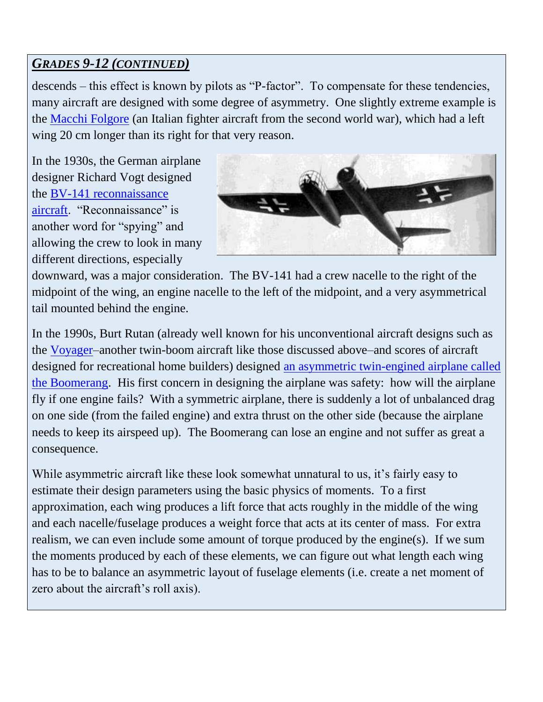# *GRADES 9-12 (CONTINUED)*

descends – this effect is known by pilots as "P-factor". To compensate for these tendencies, many aircraft are designed with some degree of asymmetry. One slightly extreme example is the [Macchi Folgore](https://airandspace.si.edu/sites/default/files/styles/slideshow_xlg/public/images/callouts/3T8A4360.2.jpg?itok=4iHWlMxd) (an Italian fighter aircraft from the second world war), which had a left wing 20 cm longer than its right for that very reason.

In the 1930s, the German airplane designer Richard Vogt designed the [BV-141 reconnaissance](https://www.militaryfactory.com/aircraft/detail.asp?aircraft_id=781)  [aircraft.](https://www.militaryfactory.com/aircraft/detail.asp?aircraft_id=781) "Reconnaissance" is another word for "spying" and allowing the crew to look in many different directions, especially



downward, was a major consideration. The BV-141 had a crew nacelle to the right of the midpoint of the wing, an engine nacelle to the left of the midpoint, and a very asymmetrical tail mounted behind the engine.

In the 1990s, Burt Rutan (already well known for his unconventional aircraft designs such as the [Voyager–](http://palmflying.com/wp-content/uploads/2014/05/Rutan-Voyager-590x380.jpg)another twin-boom aircraft like those discussed above–and scores of aircraft designed for recreational home builders) designed [an asymmetric twin-engined airplane called](http://www.aviastar.org/air/usa/rutan_boomerang.php)  [the Boomerang.](http://www.aviastar.org/air/usa/rutan_boomerang.php) His first concern in designing the airplane was safety: how will the airplane fly if one engine fails? With a symmetric airplane, there is suddenly a lot of unbalanced drag on one side (from the failed engine) and extra thrust on the other side (because the airplane needs to keep its airspeed up). The Boomerang can lose an engine and not suffer as great a consequence.

While asymmetric aircraft like these look somewhat unnatural to us, it's fairly easy to estimate their design parameters using the basic physics of moments. To a first approximation, each wing produces a lift force that acts roughly in the middle of the wing and each nacelle/fuselage produces a weight force that acts at its center of mass. For extra realism, we can even include some amount of torque produced by the engine(s). If we sum the moments produced by each of these elements, we can figure out what length each wing has to be to balance an asymmetric layout of fuselage elements (i.e. create a net moment of zero about the aircraft's roll axis).